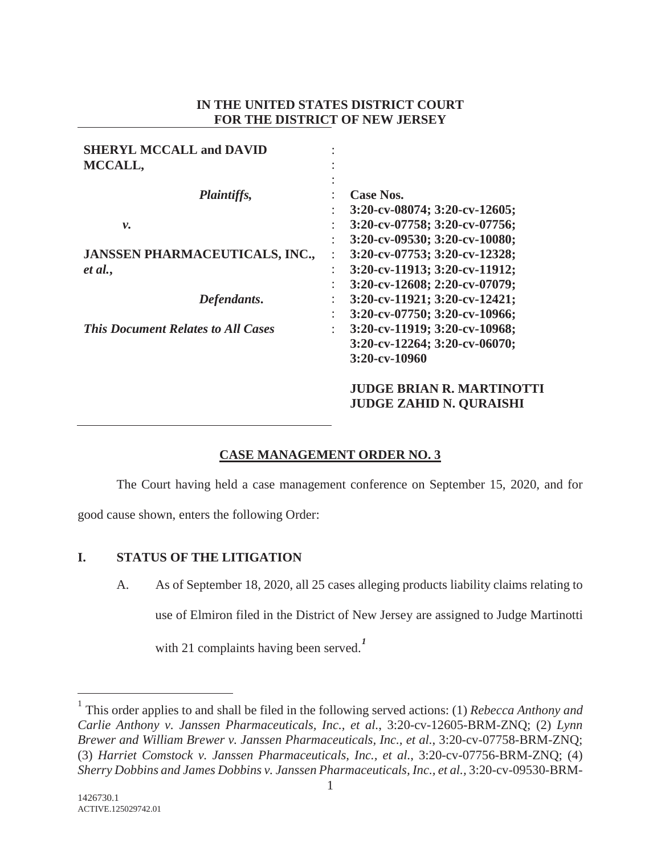### **IN THE UNITED STATES DISTRICT COURT FOR THE DISTRICT OF NEW JERSEY**

| <b>SHERYL MCCALL and DAVID</b>            |                                                             |
|-------------------------------------------|-------------------------------------------------------------|
| MCCALL,                                   |                                                             |
|                                           |                                                             |
| <i>Plaintiffs,</i>                        | <b>Case Nos.</b>                                            |
|                                           | 3:20-cv-08074; 3:20-cv-12605;                               |
| ν.                                        | 3:20-cv-07758; 3:20-cv-07756;<br>٠                          |
|                                           | 3:20-cv-09530; 3:20-cv-10080;                               |
| <b>JANSSEN PHARMACEUTICALS, INC.,</b>     | 3:20-cv-07753; 3:20-cv-12328;                               |
| et al.,                                   | 3:20-cv-11913; 3:20-cv-11912;<br>$\ddot{\phantom{a}}$       |
|                                           | 3:20-cv-12608; 2:20-cv-07079;                               |
| Defendants.                               | $3:20$ -cv-11921; $3:20$ -cv-12421;<br>$\ddot{\phantom{a}}$ |
|                                           | 3:20-cv-07750; 3:20-cv-10966;<br>$\ddot{\phantom{a}}$       |
| <b>This Document Relates to All Cases</b> | 3:20-cv-11919; 3:20-cv-10968;                               |
|                                           | $3:20$ -cv-12264; $3:20$ -cv-06070;                         |
|                                           | $3:20$ -cv-10960                                            |
|                                           | <b>JUDGE BRIAN R. MARTINOTTI</b>                            |
|                                           | <b>JUDGE ZAHID N. QURAISHI</b>                              |

# **CASE MANAGEMENT ORDER NO. 3**

The Court having held a case management conference on September 15, 2020, and for

good cause shown, enters the following Order:

# **I. STATUS OF THE LITIGATION**

A. As of September 18, 2020, all 25 cases alleging products liability claims relating to use of Elmiron filed in the District of New Jersey are assigned to Judge Martinotti with 21 complaints having been served.<sup>1</sup>

<sup>1</sup> This order applies to and shall be filed in the following served actions: (1) *Rebecca Anthony and Carlie Anthony v. Janssen Pharmaceuticals, Inc., et al.*, 3:20-cv-12605-BRM-ZNQ; (2) *Lynn Brewer and William Brewer v. Janssen Pharmaceuticals, Inc., et al.*, 3:20-cv-07758-BRM-ZNQ; (3) *Harriet Comstock v. Janssen Pharmaceuticals, Inc., et al.*, 3:20-cv-07756-BRM-ZNQ; (4) *Sherry Dobbins and James Dobbins v. Janssen Pharmaceuticals, Inc., et al.,* 3:20-cv-09530-BRM-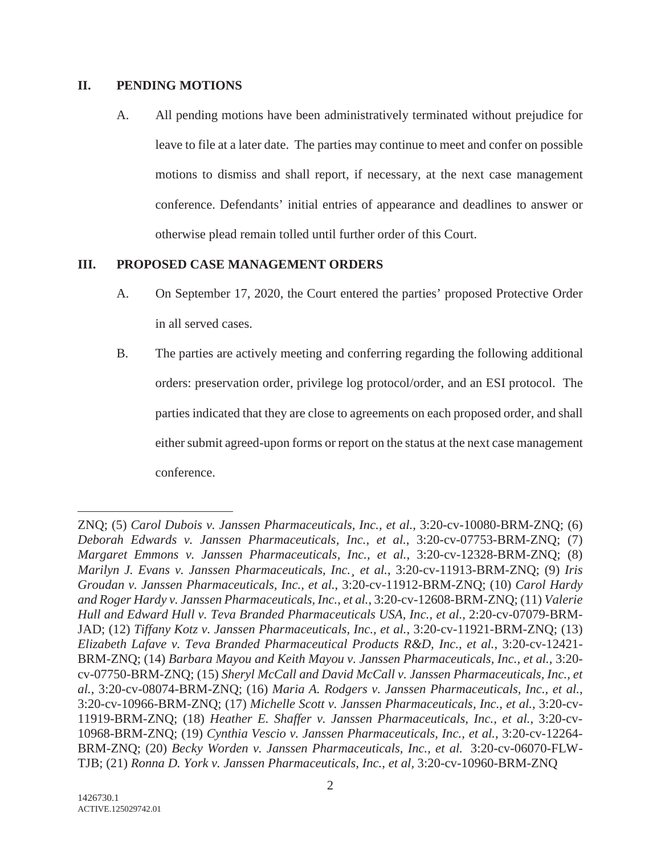### **II. PENDING MOTIONS**

A. All pending motions have been administratively terminated without prejudice for leave to file at a later date. The parties may continue to meet and confer on possible motions to dismiss and shall report, if necessary, at the next case management conference. Defendants' initial entries of appearance and deadlines to answer or otherwise plead remain tolled until further order of this Court.

## **III. PROPOSED CASE MANAGEMENT ORDERS**

- A. On September 17, 2020, the Court entered the parties' proposed Protective Order in all served cases.
- B. The parties are actively meeting and conferring regarding the following additional orders: preservation order, privilege log protocol/order, and an ESI protocol. The parties indicated that they are close to agreements on each proposed order, and shall either submit agreed-upon forms or report on the status at the next case management conference.

ZNQ; (5) *Carol Dubois v. Janssen Pharmaceuticals, Inc., et al.,* 3:20-cv-10080-BRM-ZNQ; (6) *Deborah Edwards v. Janssen Pharmaceuticals, Inc., et al.*, 3:20-cv-07753-BRM-ZNQ; (7) *Margaret Emmons v. Janssen Pharmaceuticals, Inc., et al.*, 3:20-cv-12328-BRM-ZNQ; (8) *Marilyn J. Evans v. Janssen Pharmaceuticals, Inc.¸ et al.*, 3:20-cv-11913-BRM-ZNQ; (9) *Iris Groudan v. Janssen Pharmaceuticals, Inc., et al.*, 3:20-cv-11912-BRM-ZNQ; (10) *Carol Hardy and Roger Hardy v. Janssen Pharmaceuticals, Inc., et al.*, 3:20-cv-12608-BRM-ZNQ; (11) *Valerie Hull and Edward Hull v. Teva Branded Pharmaceuticals USA, Inc., et al.,* 2:20-cv-07079-BRM-JAD; (12) *Tiffany Kotz v. Janssen Pharmaceuticals, Inc., et al.*, 3:20-cv-11921-BRM-ZNQ; (13) *Elizabeth Lafave v. Teva Branded Pharmaceutical Products R&D, Inc., et al.*, 3:20-cv-12421- BRM-ZNQ; (14) *Barbara Mayou and Keith Mayou v. Janssen Pharmaceuticals, Inc., et al.*, 3:20 cv-07750-BRM-ZNQ; (15) *Sheryl McCall and David McCall v. Janssen Pharmaceuticals, Inc., et al.*, 3:20-cv-08074-BRM-ZNQ; (16) *Maria A. Rodgers v. Janssen Pharmaceuticals, Inc., et al.,*  3:20-cv-10966-BRM-ZNQ; (17) *Michelle Scott v. Janssen Pharmaceuticals, Inc., et al.*, 3:20-cv-11919-BRM-ZNQ; (18) *Heather E. Shaffer v. Janssen Pharmaceuticals, Inc., et al.,* 3:20-cv-10968-BRM-ZNQ; (19) *Cynthia Vescio v. Janssen Pharmaceuticals, Inc., et al.*, 3:20-cv-12264- BRM-ZNQ; (20) *Becky Worden v. Janssen Pharmaceuticals, Inc., et al.* 3:20-cv-06070-FLW-TJB; (21) *Ronna D. York v. Janssen Pharmaceuticals, Inc., et al,* 3:20-cv-10960-BRM-ZNQ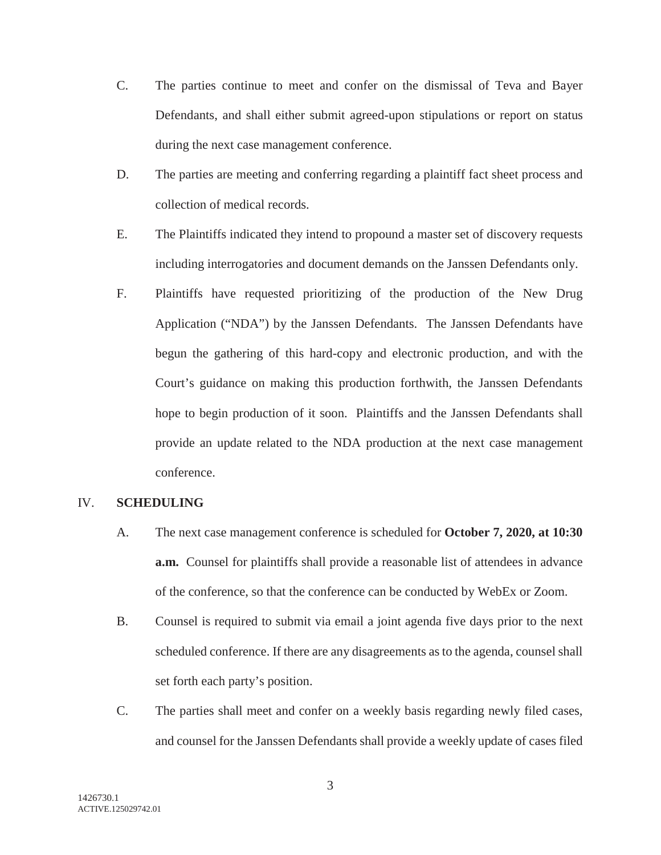- C. The parties continue to meet and confer on the dismissal of Teva and Bayer Defendants, and shall either submit agreed-upon stipulations or report on status during the next case management conference.
- D. The parties are meeting and conferring regarding a plaintiff fact sheet process and collection of medical records.
- E. The Plaintiffs indicated they intend to propound a master set of discovery requests including interrogatories and document demands on the Janssen Defendants only.
- F. Plaintiffs have requested prioritizing of the production of the New Drug Application ("NDA") by the Janssen Defendants. The Janssen Defendants have begun the gathering of this hard-copy and electronic production, and with the Court's guidance on making this production forthwith, the Janssen Defendants hope to begin production of it soon. Plaintiffs and the Janssen Defendants shall provide an update related to the NDA production at the next case management conference.

### IV. **SCHEDULING**

- A. The next case management conference is scheduled for **October 7, 2020, at 10:30 a.m.** Counsel for plaintiffs shall provide a reasonable list of attendees in advance of the conference, so that the conference can be conducted by WebEx or Zoom.
- B. Counsel is required to submit via email a joint agenda five days prior to the next scheduled conference. If there are any disagreements as to the agenda, counsel shall set forth each party's position.
- C. The parties shall meet and confer on a weekly basis regarding newly filed cases, and counsel for the Janssen Defendants shall provide a weekly update of cases filed